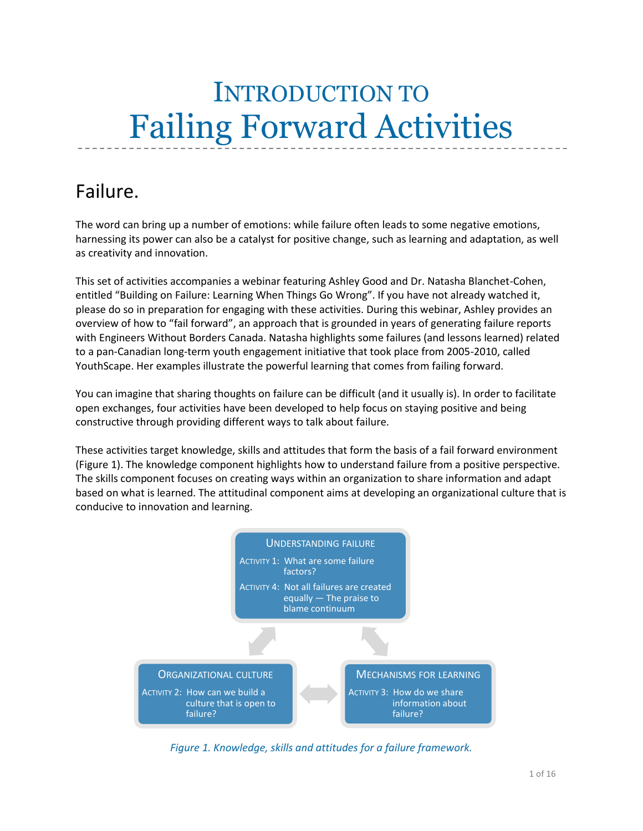# INTRODUCTION TO Failing Forward Activities

# Failure.

The word can bring up a number of emotions: while failure often leads to some negative emotions, harnessing its power can also be a catalyst for positive change, such as learning and adaptation, as well as creativity and innovation.

This set of activities accompanies a webinar featuring Ashley Good and Dr. Natasha Blanchet-Cohen, entitled "Building on Failure: Learning When Things Go Wrong". If you have not already watched it, please do so in preparation for engaging with these activities. During this webinar, Ashley provides an overview of how to "fail forward", an approach that is grounded in years of generating failure reports with Engineers Without Borders Canada. Natasha highlights some failures (and lessons learned) related to a pan-Canadian long-term youth engagement initiative that took place from 2005-2010, called YouthScape. Her examples illustrate the powerful learning that comes from failing forward.

You can imagine that sharing thoughts on failure can be difficult (and it usually is). In order to facilitate open exchanges, four activities have been developed to help focus on staying positive and being constructive through providing different ways to talk about failure.

These activities target knowledge, skills and attitudes that form the basis of a fail forward environment (Figure 1). The knowledge component highlights how to understand failure from a positive perspective. The skills component focuses on creating ways within an organization to share information and adapt based on what is learned. The attitudinal component aims at developing an organizational culture that is conducive to innovation and learning.



*Figure 1. Knowledge, skills and attitudes for a failure framework.*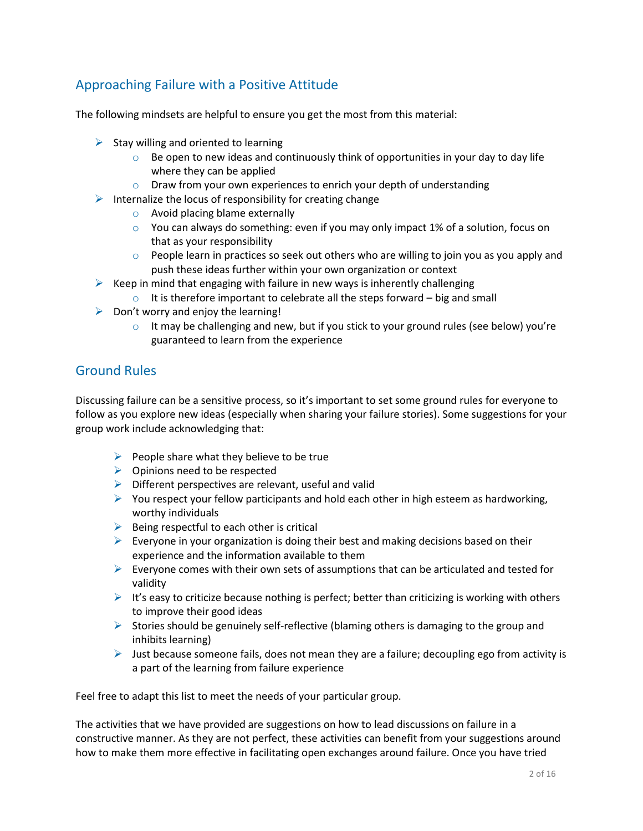### Approaching Failure with a Positive Attitude

The following mindsets are helpful to ensure you get the most from this material:

- $\triangleright$  Stay willing and oriented to learning
	- $\circ$  Be open to new ideas and continuously think of opportunities in your day to day life where they can be applied
	- $\circ$  Draw from your own experiences to enrich your depth of understanding
- $\triangleright$  Internalize the locus of responsibility for creating change
	- o Avoid placing blame externally
	- $\circ$  You can always do something: even if you may only impact 1% of a solution, focus on that as your responsibility
	- $\circ$  People learn in practices so seek out others who are willing to join you as you apply and push these ideas further within your own organization or context
- $\triangleright$  Keep in mind that engaging with failure in new ways is inherently challenging
	- $\circ$  It is therefore important to celebrate all the steps forward big and small
- $\triangleright$  Don't worry and enjoy the learning!
	- $\circ$  It may be challenging and new, but if you stick to your ground rules (see below) you're guaranteed to learn from the experience

### Ground Rules

Discussing failure can be a sensitive process, so it's important to set some ground rules for everyone to follow as you explore new ideas (especially when sharing your failure stories). Some suggestions for your group work include acknowledging that:

- $\triangleright$  People share what they believe to be true
- $\triangleright$  Opinions need to be respected
- $\triangleright$  Different perspectives are relevant, useful and valid
- $\triangleright$  You respect your fellow participants and hold each other in high esteem as hardworking, worthy individuals
- $\triangleright$  Being respectful to each other is critical
- $\triangleright$  Everyone in your organization is doing their best and making decisions based on their experience and the information available to them
- Everyone comes with their own sets of assumptions that can be articulated and tested for validity
- $\triangleright$  It's easy to criticize because nothing is perfect; better than criticizing is working with others to improve their good ideas
- Stories should be genuinely self-reflective (blaming others is damaging to the group and inhibits learning)
- $\triangleright$  Just because someone fails, does not mean they are a failure; decoupling ego from activity is a part of the learning from failure experience

Feel free to adapt this list to meet the needs of your particular group.

The activities that we have provided are suggestions on how to lead discussions on failure in a constructive manner. As they are not perfect, these activities can benefit from your suggestions around how to make them more effective in facilitating open exchanges around failure. Once you have tried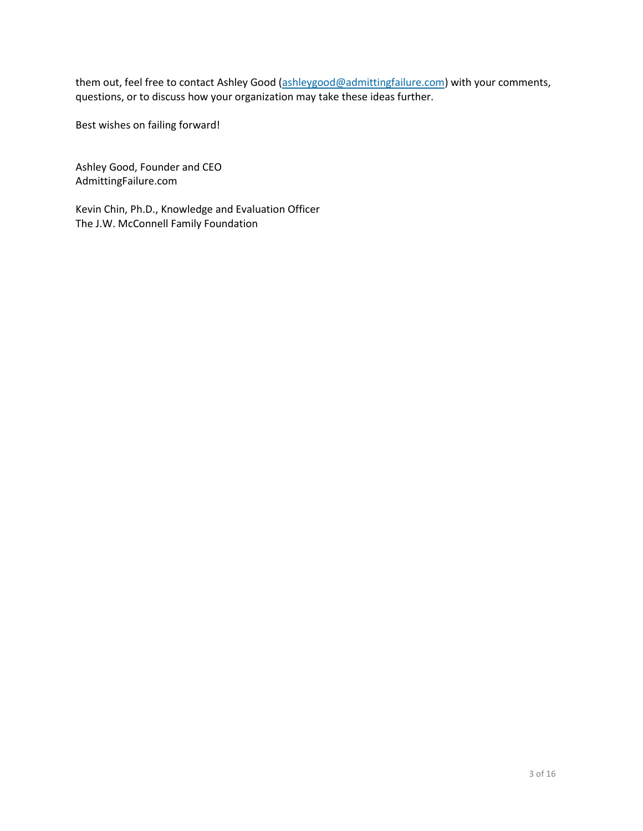them out, feel free to contact Ashley Good [\(ashleygood@admittingfailure.com\)](mailto:ashleygood@admittingfailure.com) with your comments, questions, or to discuss how your organization may take these ideas further.

Best wishes on failing forward!

Ashley Good, Founder and CEO AdmittingFailure.com

Kevin Chin, Ph.D., Knowledge and Evaluation Officer The J.W. McConnell Family Foundation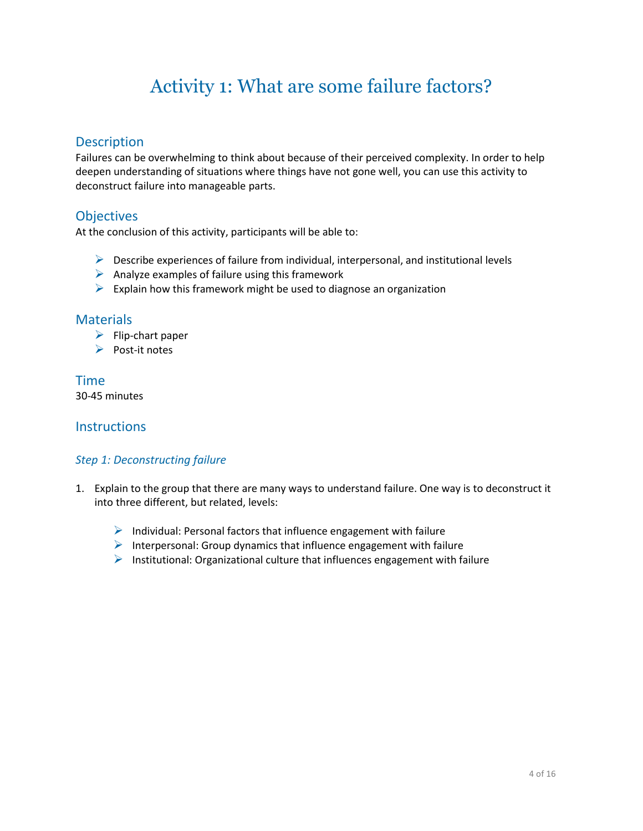# Activity 1: What are some failure factors?

### **Description**

Failures can be overwhelming to think about because of their perceived complexity. In order to help deepen understanding of situations where things have not gone well, you can use this activity to deconstruct failure into manageable parts.

### **Objectives**

At the conclusion of this activity, participants will be able to:

- $\triangleright$  Describe experiences of failure from individual, interpersonal, and institutional levels
- $\triangleright$  Analyze examples of failure using this framework
- $\triangleright$  Explain how this framework might be used to diagnose an organization

#### **Materials**

- $\blacktriangleright$  Flip-chart paper
- $\triangleright$  Post-it notes

#### Time 30-45 minutes

#### **Instructions**

#### *Step 1: Deconstructing failure*

- 1. Explain to the group that there are many ways to understand failure. One way is to deconstruct it into three different, but related, levels:
	- $\triangleright$  Individual: Personal factors that influence engagement with failure
	- $\triangleright$  Interpersonal: Group dynamics that influence engagement with failure
	- $\triangleright$  Institutional: Organizational culture that influences engagement with failure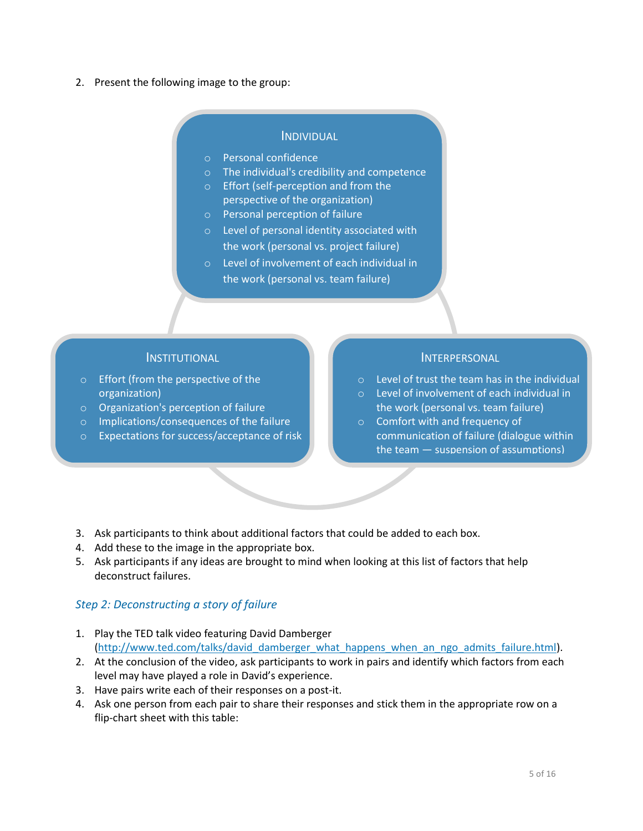2. Present the following image to the group:

#### INDIVIDUAL

- o Personal confidence
- o The individual's credibility and competence
- o Effort (self-perception and from the perspective of the organization)
	- o Personal perception of failure
	- o Level of personal identity associated with the work (personal vs. project failure)
	- o Level of involvement of each individual in the work (personal vs. team failure)

#### INSTITUTIONAL

- o Effort (from the perspective of the organization)
- o Organization's perception of failure
- o Implications/consequences of the failure
- o Expectations for success/acceptance of risk

#### INTERPERSONAL

- o Level of trust the team has in the individual
- o Level of involvement of each individual in the work (personal vs. team failure)
- o Comfort with and frequency of communication of failure (dialogue within the team — suspension of assumptions)
- 3. Ask participants to think about additional factors that could be added to each box.
- 4. Add these to the image in the appropriate box.
- 5. Ask participants if any ideas are brought to mind when looking at this list of factors that help deconstruct failures.

#### *Step 2: Deconstructing a story of failure*

1. Play the TED talk video featuring David Damberger [\(http://www.ted.com/talks/david\\_damberger\\_what\\_happens\\_when\\_an\\_ngo\\_admits\\_failure.html\)](http://www.ted.com/talks/david_damberger_what_happens_when_an_ngo_admits_failure.html).

o

- 2. At the conclusion of the video, ask participants to work in pairs and identify which factors from each level may have played a role in David's experience.
- 3. Have pairs write each of their responses on a post-it.
- 4. Ask one person from each pair to share their responses and stick them in the appropriate row on a flip-chart sheet with this table: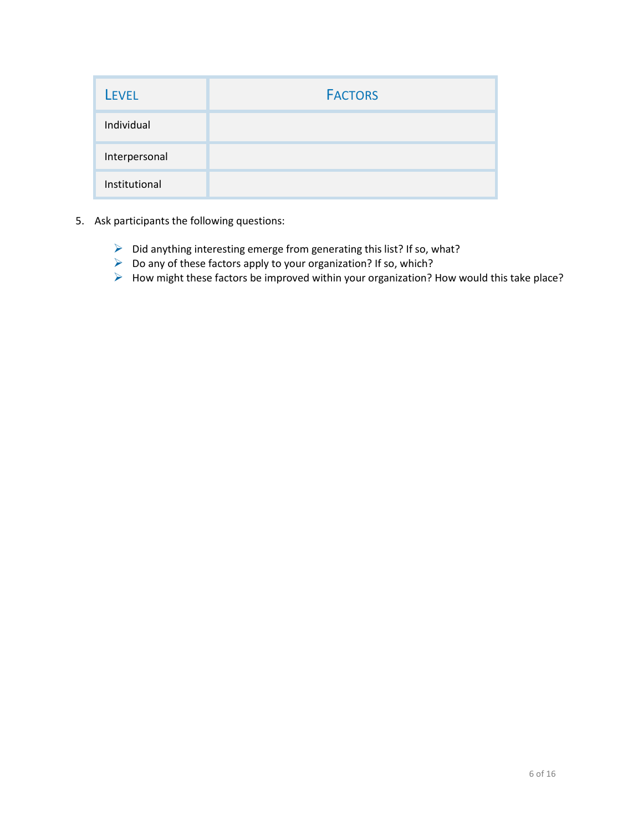| <b>LEVEL</b>  | <b>FACTORS</b> |
|---------------|----------------|
| Individual    |                |
| Interpersonal |                |
| Institutional |                |

- 5. Ask participants the following questions:
	- $\triangleright$  Did anything interesting emerge from generating this list? If so, what?
	- $\triangleright$  Do any of these factors apply to your organization? If so, which?
	- How might these factors be improved within your organization? How would this take place?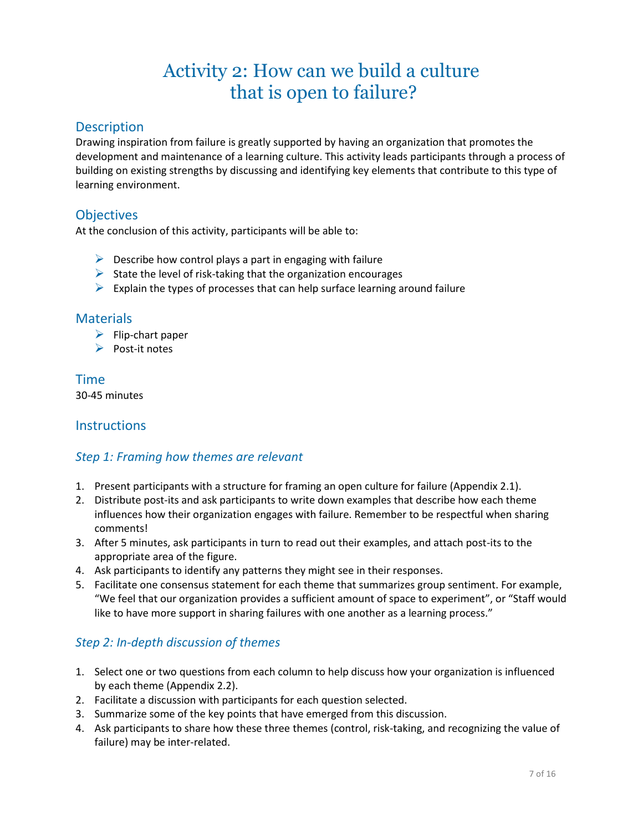# Activity 2: How can we build a culture that is open to failure?

#### **Description**

Drawing inspiration from failure is greatly supported by having an organization that promotes the development and maintenance of a learning culture. This activity leads participants through a process of building on existing strengths by discussing and identifying key elements that contribute to this type of learning environment.

#### **Objectives**

At the conclusion of this activity, participants will be able to:

- $\triangleright$  Describe how control plays a part in engaging with failure
- $\triangleright$  State the level of risk-taking that the organization encourages
- $\triangleright$  Explain the types of processes that can help surface learning around failure

#### **Materials**

- $\blacktriangleright$  Flip-chart paper
- $\triangleright$  Post-it notes

Time 30-45 minutes

#### **Instructions**

#### *Step 1: Framing how themes are relevant*

- 1. Present participants with a structure for framing an open culture for failure (Appendix 2.1).
- 2. Distribute post-its and ask participants to write down examples that describe how each theme influences how their organization engages with failure. Remember to be respectful when sharing comments!
- 3. After 5 minutes, ask participants in turn to read out their examples, and attach post-its to the appropriate area of the figure.
- 4. Ask participants to identify any patterns they might see in their responses.
- 5. Facilitate one consensus statement for each theme that summarizes group sentiment. For example, "We feel that our organization provides a sufficient amount of space to experiment", or "Staff would like to have more support in sharing failures with one another as a learning process."

#### *Step 2: In-depth discussion of themes*

- 1. Select one or two questions from each column to help discuss how your organization is influenced by each theme (Appendix 2.2).
- 2. Facilitate a discussion with participants for each question selected.
- 3. Summarize some of the key points that have emerged from this discussion.
- 4. Ask participants to share how these three themes (control, risk-taking, and recognizing the value of failure) may be inter-related.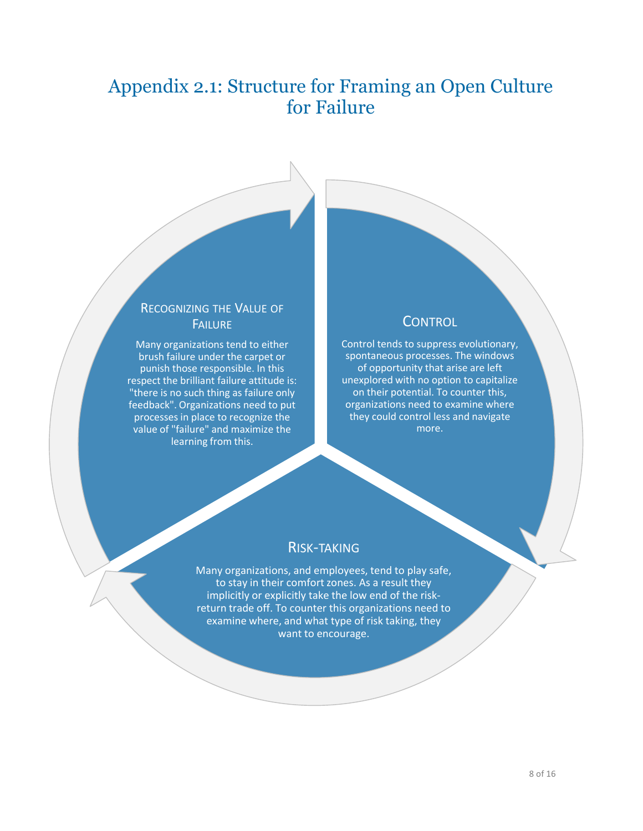# Appendix 2.1: Structure for Framing an Open Culture for Failure

### RECOGNIZING THE VALUE OF FAILURE

Many organizations tend to either brush failure under the carpet or punish those responsible. In this respect the brilliant failure attitude is: "there is no such thing as failure only feedback". Organizations need to put processes in place to recognize the value of "failure" and maximize the learning from this.

#### **CONTROL**

Control tends to suppress evolutionary, spontaneous processes. The windows of opportunity that arise are left unexplored with no option to capitalize on their potential. To counter this, organizations need to examine where they could control less and navigate more.

#### RISK-TAKING

Many organizations, and employees, tend to play safe, to stay in their comfort zones. As a result they implicitly or explicitly take the low end of the riskreturn trade off. To counter this organizations need to examine where, and what type of risk taking, they want to encourage.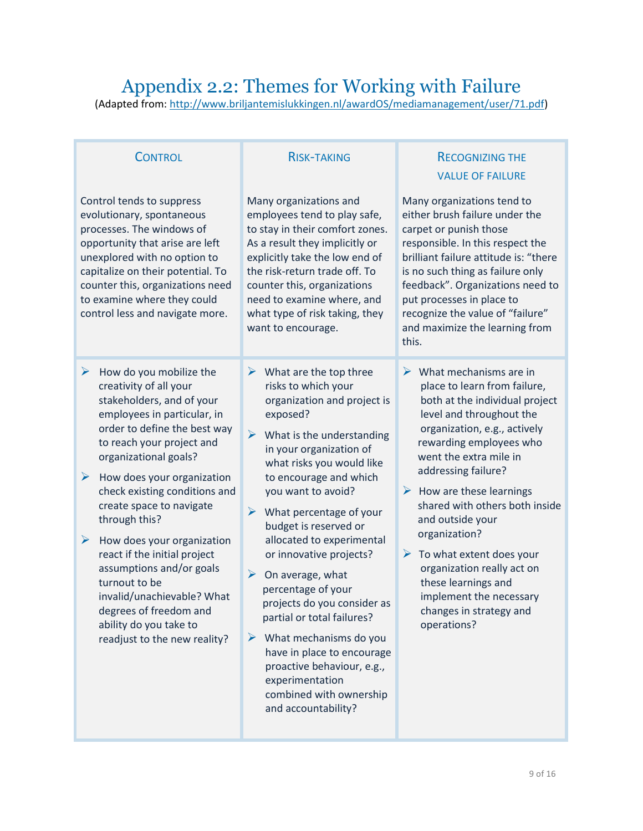## Appendix 2.2: Themes for Working with Failure

(Adapted from: [http://www.briljantemislukkingen.nl/awardOS/mediamanagement/user/71.pdf\)](http://www.briljantemislukkingen.nl/awardOS/mediamanagement/user/71.pdf)

| <b>CONTROL</b>                                                                                                                                                                                                                                                                                                                                                                                                                                                                                                                                              | <b>RISK-TAKING</b>                                                                                                                                                                                                                                                                                                                                                                                                                                                                                                                                                                                                                                                               | <b>RECOGNIZING THE</b><br><b>VALUE OF FAILURE</b>                                                                                                                                                                                                                                                                                                                                                                                                                                                                               |  |  |
|-------------------------------------------------------------------------------------------------------------------------------------------------------------------------------------------------------------------------------------------------------------------------------------------------------------------------------------------------------------------------------------------------------------------------------------------------------------------------------------------------------------------------------------------------------------|----------------------------------------------------------------------------------------------------------------------------------------------------------------------------------------------------------------------------------------------------------------------------------------------------------------------------------------------------------------------------------------------------------------------------------------------------------------------------------------------------------------------------------------------------------------------------------------------------------------------------------------------------------------------------------|---------------------------------------------------------------------------------------------------------------------------------------------------------------------------------------------------------------------------------------------------------------------------------------------------------------------------------------------------------------------------------------------------------------------------------------------------------------------------------------------------------------------------------|--|--|
| Control tends to suppress<br>evolutionary, spontaneous<br>processes. The windows of<br>opportunity that arise are left<br>unexplored with no option to<br>capitalize on their potential. To<br>counter this, organizations need<br>to examine where they could<br>control less and navigate more.                                                                                                                                                                                                                                                           | Many organizations and<br>employees tend to play safe,<br>to stay in their comfort zones.<br>As a result they implicitly or<br>explicitly take the low end of<br>the risk-return trade off. To<br>counter this, organizations<br>need to examine where, and<br>what type of risk taking, they<br>want to encourage.                                                                                                                                                                                                                                                                                                                                                              | Many organizations tend to<br>either brush failure under the<br>carpet or punish those<br>responsible. In this respect the<br>brilliant failure attitude is: "there<br>is no such thing as failure only<br>feedback". Organizations need to<br>put processes in place to<br>recognize the value of "failure"<br>and maximize the learning from<br>this.                                                                                                                                                                         |  |  |
| ➤<br>How do you mobilize the<br>creativity of all your<br>stakeholders, and of your<br>employees in particular, in<br>order to define the best way<br>to reach your project and<br>organizational goals?<br>➤<br>How does your organization<br>check existing conditions and<br>create space to navigate<br>through this?<br>➤<br>How does your organization<br>react if the initial project<br>assumptions and/or goals<br>turnout to be<br>invalid/unachievable? What<br>degrees of freedom and<br>ability do you take to<br>readjust to the new reality? | $\triangleright$ What are the top three<br>risks to which your<br>organization and project is<br>exposed?<br>$\blacktriangleright$<br>What is the understanding<br>in your organization of<br>what risks you would like<br>to encourage and which<br>you want to avoid?<br>➤<br>What percentage of your<br>budget is reserved or<br>allocated to experimental<br>or innovative projects?<br>➤<br>On average, what<br>percentage of your<br>projects do you consider as<br>partial or total failures?<br>$\triangleright$ What mechanisms do you<br>have in place to encourage<br>proactive behaviour, e.g.,<br>experimentation<br>combined with ownership<br>and accountability? | What mechanisms are in<br>➤<br>place to learn from failure,<br>both at the individual project<br>level and throughout the<br>organization, e.g., actively<br>rewarding employees who<br>went the extra mile in<br>addressing failure?<br>$\triangleright$ How are these learnings<br>shared with others both inside<br>and outside your<br>organization?<br>$\triangleright$ To what extent does your<br>organization really act on<br>these learnings and<br>implement the necessary<br>changes in strategy and<br>operations? |  |  |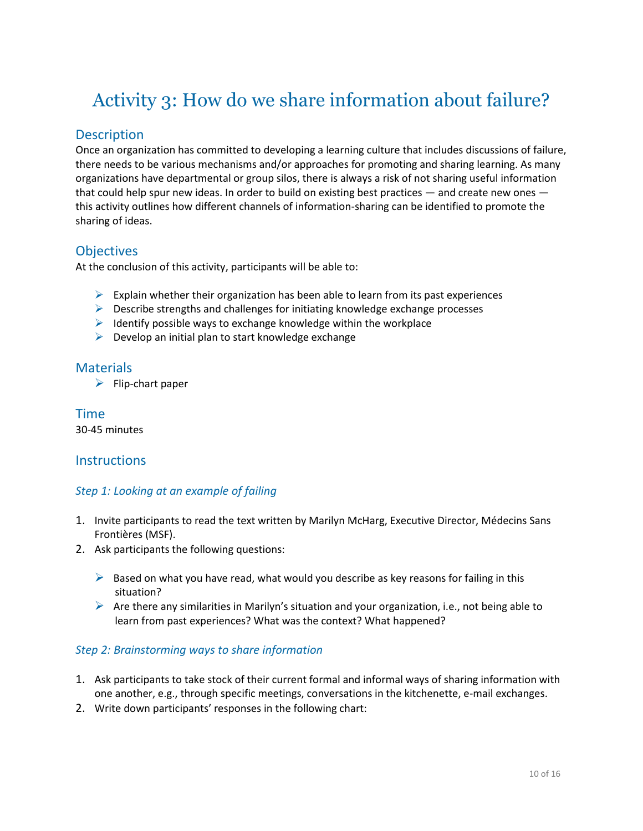# Activity 3: How do we share information about failure?

#### **Description**

Once an organization has committed to developing a learning culture that includes discussions of failure, there needs to be various mechanisms and/or approaches for promoting and sharing learning. As many organizations have departmental or group silos, there is always a risk of not sharing useful information that could help spur new ideas. In order to build on existing best practices — and create new ones this activity outlines how different channels of information-sharing can be identified to promote the sharing of ideas.

### **Objectives**

At the conclusion of this activity, participants will be able to:

- $\triangleright$  Explain whether their organization has been able to learn from its past experiences
- $\triangleright$  Describe strengths and challenges for initiating knowledge exchange processes
- $\triangleright$  Identify possible ways to exchange knowledge within the workplace
- $\triangleright$  Develop an initial plan to start knowledge exchange

#### **Materials**

 $\blacktriangleright$  Flip-chart paper

Time 30-45 minutes

#### **Instructions**

#### *Step 1: Looking at an example of failing*

- 1. Invite participants to read the text written by Marilyn McHarg, Executive Director, Médecins Sans Frontières (MSF).
- 2. Ask participants the following questions:
	- $\triangleright$  Based on what you have read, what would you describe as key reasons for failing in this situation?
	- $\triangleright$  Are there any similarities in Marilyn's situation and your organization, i.e., not being able to learn from past experiences? What was the context? What happened?

#### *Step 2: Brainstorming ways to share information*

- 1. Ask participants to take stock of their current formal and informal ways of sharing information with one another, e.g., through specific meetings, conversations in the kitchenette, e-mail exchanges.
- 2. Write down participants' responses in the following chart: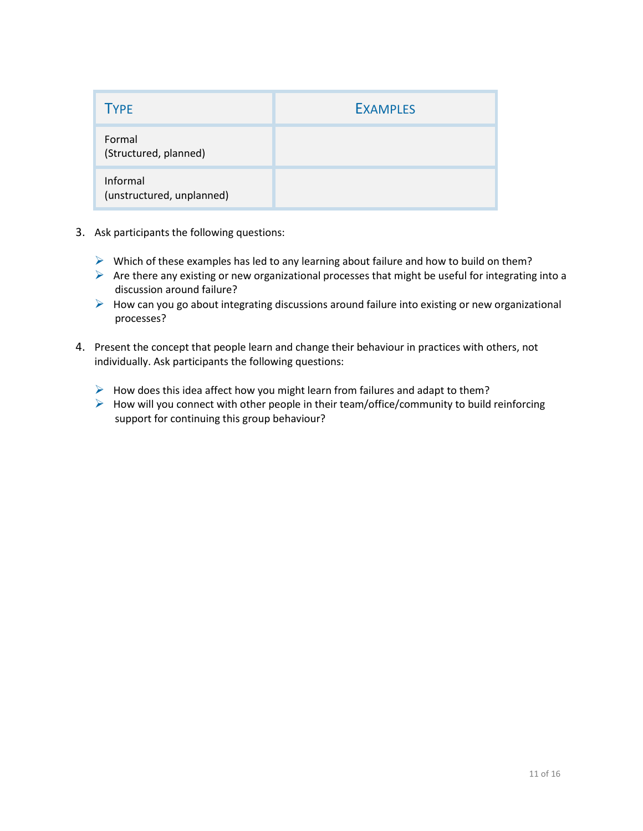| <b>TYPE</b>                           | <b>EXAMPLES</b> |
|---------------------------------------|-----------------|
| Formal<br>(Structured, planned)       |                 |
| Informal<br>(unstructured, unplanned) |                 |

- 3. Ask participants the following questions:
	- $\triangleright$  Which of these examples has led to any learning about failure and how to build on them?
	- $\triangleright$  Are there any existing or new organizational processes that might be useful for integrating into a discussion around failure?
	- $\triangleright$  How can you go about integrating discussions around failure into existing or new organizational processes?
- 4. Present the concept that people learn and change their behaviour in practices with others, not individually. Ask participants the following questions:
	- $\triangleright$  How does this idea affect how you might learn from failures and adapt to them?
	- $\triangleright$  How will you connect with other people in their team/office/community to build reinforcing support for continuing this group behaviour?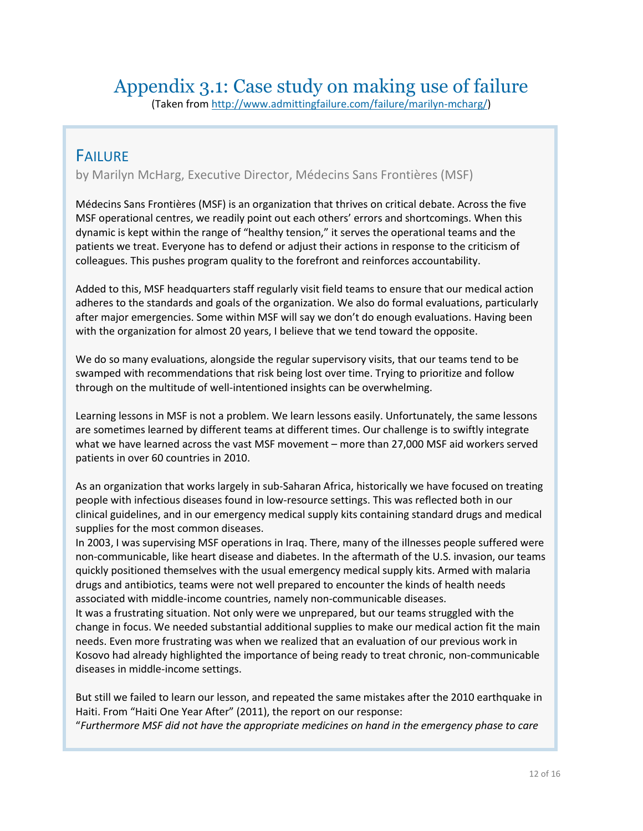# Appendix 3.1: Case study on making use of failure

(Taken from [http://www.admittingfailure.com/failure/marilyn-mcharg/\)](http://www.admittingfailure.com/failure/marilyn-mcharg/)

### FAILURE

by Marilyn McHarg, Executive Director, Médecins Sans Frontières (MSF)

Médecins Sans Frontières (MSF) is an organization that thrives on critical debate. Across the five MSF operational centres, we readily point out each others' errors and shortcomings. When this dynamic is kept within the range of "healthy tension," it serves the operational teams and the patients we treat. Everyone has to defend or adjust their actions in response to the criticism of colleagues. This pushes program quality to the forefront and reinforces accountability.

Added to this, MSF headquarters staff regularly visit field teams to ensure that our medical action adheres to the standards and goals of the organization. We also do formal evaluations, particularly after major emergencies. Some within MSF will say we don't do enough evaluations. Having been with the organization for almost 20 years, I believe that we tend toward the opposite.

We do so many evaluations, alongside the regular supervisory visits, that our teams tend to be swamped with recommendations that risk being lost over time. Trying to prioritize and follow through on the multitude of well-intentioned insights can be overwhelming.

Learning lessons in MSF is not a problem. We learn lessons easily. Unfortunately, the same lessons are sometimes learned by different teams at different times. Our challenge is to swiftly integrate what we have learned across the vast MSF movement – more than 27,000 MSF aid workers served patients in over 60 countries in 2010.

As an organization that works largely in sub-Saharan Africa, historically we have focused on treating people with infectious diseases found in low-resource settings. This was reflected both in our clinical guidelines, and in our emergency medical supply kits containing standard drugs and medical supplies for the most common diseases.

In 2003, I was supervising MSF operations in Iraq. There, many of the illnesses people suffered were non-communicable, like heart disease and diabetes. In the aftermath of the U.S. invasion, our teams quickly positioned themselves with the usual emergency medical supply kits. Armed with malaria drugs and antibiotics, teams were not well prepared to encounter the kinds of health needs associated with middle-income countries, namely non-communicable diseases.

It was a frustrating situation. Not only were we unprepared, but our teams struggled with the change in focus. We needed substantial additional supplies to make our medical action fit the main needs. Even more frustrating was when we realized that an evaluation of our previous work in Kosovo had already highlighted the importance of being ready to treat chronic, non-communicable diseases in middle-income settings.

But still we failed to learn our lesson, and repeated the same mistakes after the 2010 earthquake in Haiti. From "Haiti One Year After" (2011), the report on our response: "*Furthermore MSF did not have the appropriate medicines on hand in the emergency phase to care*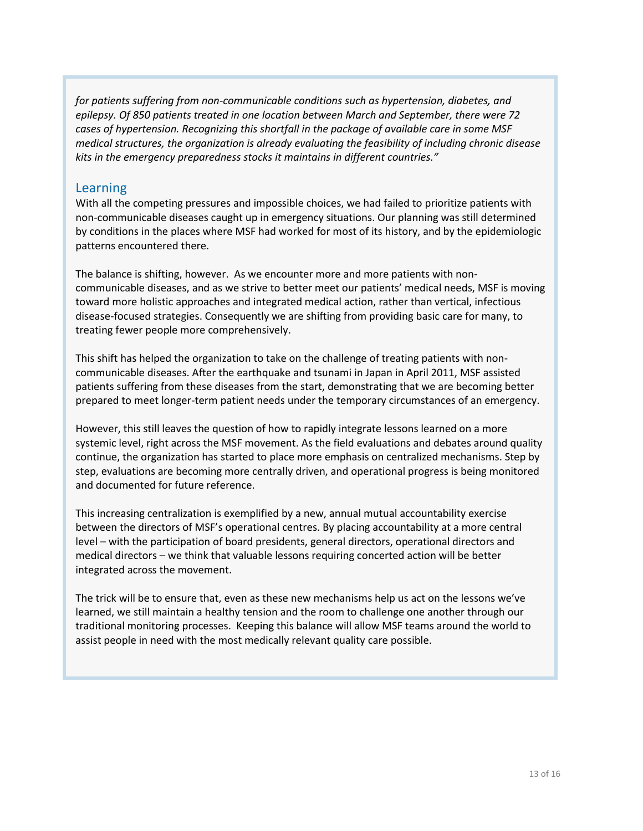*for patients suffering from non-communicable conditions such as hypertension, diabetes, and epilepsy. Of 850 patients treated in one location between March and September, there were 72 cases of hypertension. Recognizing this shortfall in the package of available care in some MSF medical structures, the organization is already evaluating the feasibility of including chronic disease kits in the emergency preparedness stocks it maintains in different countries."*

#### Learning

With all the competing pressures and impossible choices, we had failed to prioritize patients with non-communicable diseases caught up in emergency situations. Our planning was still determined by conditions in the places where MSF had worked for most of its history, and by the epidemiologic patterns encountered there.

The balance is shifting, however. As we encounter more and more patients with noncommunicable diseases, and as we strive to better meet our patients' medical needs, MSF is moving toward more holistic approaches and integrated medical action, rather than vertical, infectious disease-focused strategies. Consequently we are shifting from providing basic care for many, to treating fewer people more comprehensively.

This shift has helped the organization to take on the challenge of treating patients with noncommunicable diseases. After the earthquake and tsunami in Japan in April 2011, MSF assisted patients suffering from these diseases from the start, demonstrating that we are becoming better prepared to meet longer-term patient needs under the temporary circumstances of an emergency.

However, this still leaves the question of how to rapidly integrate lessons learned on a more systemic level, right across the MSF movement. As the field evaluations and debates around quality continue, the organization has started to place more emphasis on centralized mechanisms. Step by step, evaluations are becoming more centrally driven, and operational progress is being monitored and documented for future reference.

This increasing centralization is exemplified by a new, annual mutual accountability exercise between the directors of MSF's operational centres. By placing accountability at a more central level – with the participation of board presidents, general directors, operational directors and medical directors – we think that valuable lessons requiring concerted action will be better integrated across the movement.

The trick will be to ensure that, even as these new mechanisms help us act on the lessons we've learned, we still maintain a healthy tension and the room to challenge one another through our traditional monitoring processes. Keeping this balance will allow MSF teams around the world to assist people in need with the most medically relevant quality care possible.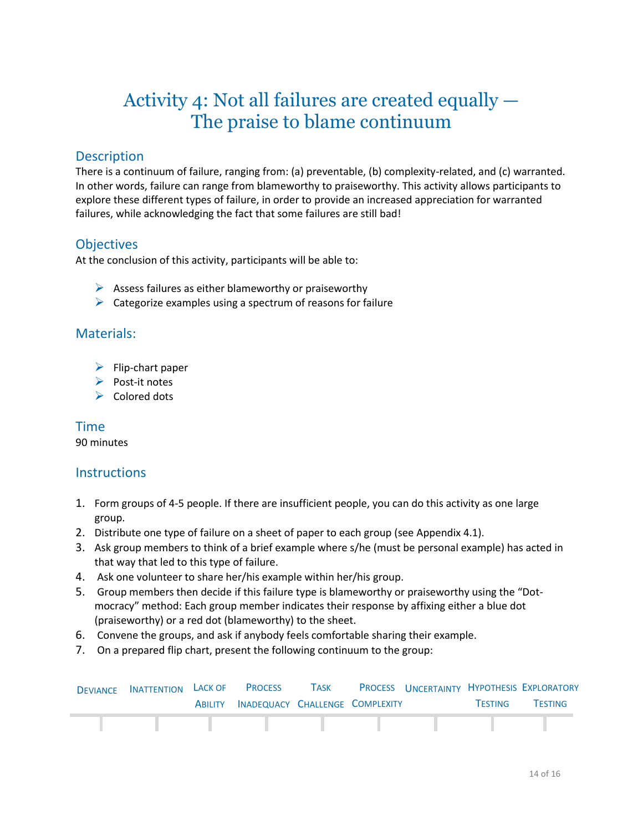# Activity 4: Not all failures are created equally — The praise to blame continuum

### **Description**

There is a continuum of failure, ranging from: (a) preventable, (b) complexity-related, and (c) warranted. In other words, failure can range from blameworthy to praiseworthy. This activity allows participants to explore these different types of failure, in order to provide an increased appreciation for warranted failures, while acknowledging the fact that some failures are still bad!

### **Objectives**

At the conclusion of this activity, participants will be able to:

- $\triangleright$  Assess failures as either blameworthy or praiseworthy
- $\triangleright$  Categorize examples using a spectrum of reasons for failure

#### Materials:

- $\blacktriangleright$  Flip-chart paper
- $\triangleright$  Post-it notes
- $\triangleright$  Colored dots

### Time

90 minutes

#### **Instructions**

- 1. Form groups of 4-5 people. If there are insufficient people, you can do this activity as one large group.
- 2. Distribute one type of failure on a sheet of paper to each group (see Appendix 4.1).
- 3. Ask group members to think of a brief example where s/he (must be personal example) has acted in that way that led to this type of failure.
- 4. Ask one volunteer to share her/his example within her/his group.
- 5. Group members then decide if this failure type is blameworthy or praiseworthy using the "Dotmocracy" method: Each group member indicates their response by affixing either a blue dot (praiseworthy) or a red dot (blameworthy) to the sheet.
- 6. Convene the groups, and ask if anybody feels comfortable sharing their example.
- 7. On a prepared flip chart, present the following continuum to the group:

| <b>DEVIANCE INATTENTION LACK OF PROCESS</b> |                                         | <b>TASK</b> |  |                | PROCESS UNCERTAINTY HYPOTHESIS EXPLORATORY |
|---------------------------------------------|-----------------------------------------|-------------|--|----------------|--------------------------------------------|
|                                             | ABILITY INADEQUACY CHALLENGE COMPLEXITY |             |  | <b>TESTING</b> | <b>TESTING</b>                             |
|                                             |                                         |             |  |                |                                            |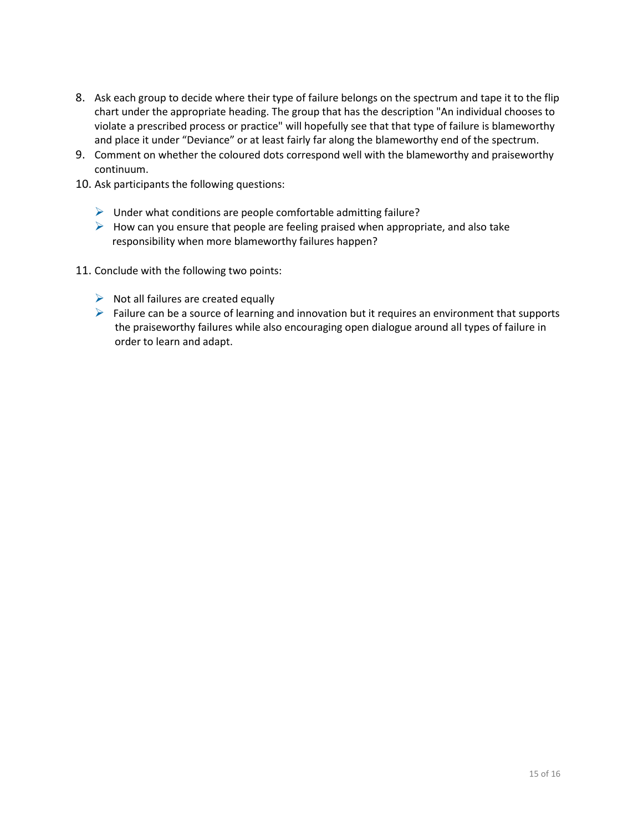- 8. Ask each group to decide where their type of failure belongs on the spectrum and tape it to the flip chart under the appropriate heading. The group that has the description "An individual chooses to violate a prescribed process or practice" will hopefully see that that type of failure is blameworthy and place it under "Deviance" or at least fairly far along the blameworthy end of the spectrum.
- 9. Comment on whether the coloured dots correspond well with the blameworthy and praiseworthy continuum.
- 10. Ask participants the following questions:
	- $\triangleright$  Under what conditions are people comfortable admitting failure?
	- $\triangleright$  How can you ensure that people are feeling praised when appropriate, and also take responsibility when more blameworthy failures happen?
- 11. Conclude with the following two points:
	- $\triangleright$  Not all failures are created equally
	- $\triangleright$  Failure can be a source of learning and innovation but it requires an environment that supports the praiseworthy failures while also encouraging open dialogue around all types of failure in order to learn and adapt.